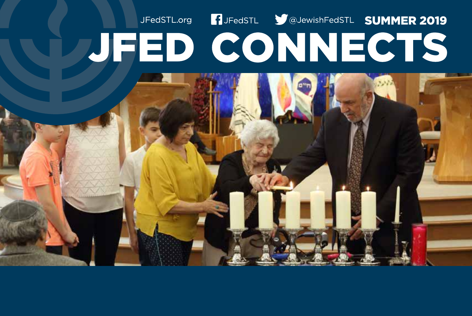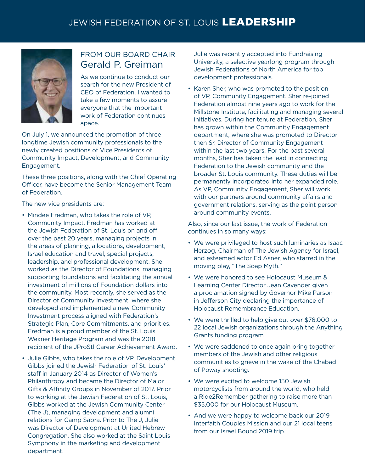## JEWISH FEDERATION OF ST. LOUIS LEADERSHIP JEWISH FEDERATION OF ST. LOUIS LEADERSHIP



### FROM OUR BOARD CHAIR Gerald P. Greiman

As we continue to conduct our search for the new President of CEO of Federation, I wanted to take a few moments to assure everyone that the important work of Federation continues apace.

On July 1, we announced the promotion of three longtime Jewish community professionals to the newly created positions of Vice Presidents of Community Impact, Development, and Community Engagement.

These three positions, along with the Chief Operating Officer, have become the Senior Management Team of Federation.

The new vice presidents are:

- Mindee Fredman, who takes the role of VP, Community Impact. Fredman has worked at the Jewish Federation of St. Louis on and off over the past 20 years, managing projects in the areas of planning, allocations, development, Israel education and travel, special projects, leadership, and professional development. She worked as the Director of Foundations, managing supporting foundations and facilitating the annual investment of millions of Foundation dollars into the community. Most recently, she served as the Director of Community Investment, where she developed and implemented a new Community Investment process aligned with Federation's Strategic Plan, Core Commitments, and priorities. Fredman is a proud member of the St. Louis Wexner Heritage Program and was the 2018 recipient of the JProStl Career Achievement Award.
- Julie Gibbs, who takes the role of VP, Development. Gibbs joined the Jewish Federation of St. Louis' staff in January 2014 as Director of Women's Philanthropy and became the Director of Major Gifts & Affinity Groups in November of 2017. Prior to working at the Jewish Federation of St. Louis, Gibbs worked at the Jewish Community Center (The J), managing development and alumni relations for Camp Sabra. Prior to The J, Julie was Director of Development at United Hebrew Congregation. She also worked at the Saint Louis Symphony in the marketing and development department.

Julie was recently accepted into Fundraising University, a selective yearlong program through Jewish Federations of North America for top development professionals.

• Karen Sher, who was promoted to the position of VP, Community Engagement. Sher re-joined Federation almost nine years ago to work for the Millstone Institute, facilitating and managing several initiatives. During her tenure at Federation, Sher has grown within the Community Engagement department, where she was promoted to Director then Sr. Director of Community Engagement within the last two years. For the past several months, Sher has taken the lead in connecting Federation to the Jewish community and the broader St. Louis community. These duties will be permanently incorporated into her expanded role. As VP, Community Engagement, Sher will work with our partners around community affairs and government relations, serving as the point person around community events.

Also, since our last issue, the work of Federation continues in so many ways:

- We were privileged to host such luminaries as Isaac Herzog, Chairman of The Jewish Agency for Israel, and esteemed actor Ed Asner, who starred in the moving play, "The Soap Myth."
- We were honored to see Holocaust Museum & Learning Center Director Jean Cavender given a proclamation signed by Governor Mike Parson in Jefferson City declaring the importance of Holocaust Remembrance Education.
- We were thrilled to help give out over \$76,000 to 22 local Jewish organizations through the Anything Grants funding program.
- We were saddened to once again bring together members of the Jewish and other religious communities to grieve in the wake of the Chabad of Poway shooting.
- We were excited to welcome 150 Jewish motorcyclists from around the world, who held a Ride2Remember gathering to raise more than \$35,000 for our Holocaust Museum.
- And we were happy to welcome back our 2019 Interfaith Couples Mission and our 21 local teens from our Israel Bound 2019 trip.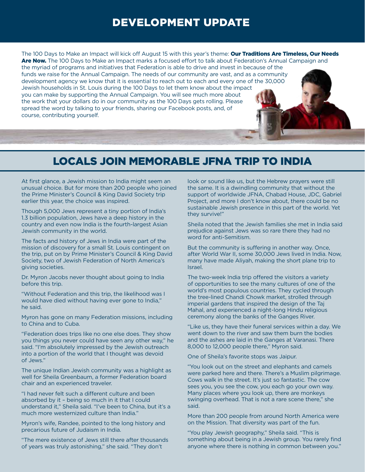### DEVELOPMENT UPDATE

The 100 Days to Make an Impact will kick off August 15 with this year's theme: Our Traditions Are Timeless, Our Needs Are Now. The 100 Days to Make an Impact marks a focused effort to talk about Federation's Annual Campaign and the myriad of programs and initiatives that Federation is able to drive and invest in because of the funds we raise for the Annual Campaign. The needs of our community are vast, and as a community development agency we know that it is essential to reach out to each and every one of the 30,000 Jewish households in St. Louis during the 100 Days to let them know about the impact you can make by supporting the Annual Campaign. You will see much more about the work that your dollars do in our community as the 100 Days gets rolling. Please spread the word by talking to your friends, sharing our Facebook posts, and, of course, contributing yourself.

# LOCALS JOIN MEMORABLE JFNA TRIP TO INDIA

At first glance, a Jewish mission to India might seem an unusual choice. But for more than 200 people who joined the Prime Minister's Council & King David Society trip earlier this year, the choice was inspired.

Though 5,000 Jews represent a tiny portion of India's 1.3 billion population, Jews have a deep history in the country and even now India is the fourth-largest Asian Jewish community in the world.

The facts and history of Jews in India were part of the mission of discovery for a small St. Louis contingent on the trip, put on by Prime Minister's Council & King David Society, two of Jewish Federation of North America's giving societies.

Dr. Myron Jacobs never thought about going to India before this trip.

"Without Federation and this trip, the likelihood was I would have died without having ever gone to India," he said.

Myron has gone on many Federation missions, including to China and to Cuba.

"Federation does trips like no one else does. They show you things you never could have seen any other way," he said. "I'm absolutely impressed by the Jewish outreach into a portion of the world that I thought was devoid of Jews."

The unique Indian Jewish community was a highlight as well for Sheila Greenbaum, a former Federation board chair and an experienced traveler.

"I had never felt such a different culture and been absorbed by it – being so much in it that I could understand it," Sheila said. "I've been to China, but it's a much more westernized culture than India."

Myron's wife, Randee, pointed to the long history and precarious future of Judaism in India.

"The mere existence of Jews still there after thousands of years was truly astonishing," she said. "They don't

look or sound like us, but the Hebrew prayers were still the same. It is a dwindling community that without the support of worldwide JFNA, Chabad House, JDC, Gabriel Project, and more I don't know about, there could be no sustainable Jewish presence in this part of the world. Yet they survive!"

Sheila noted that the Jewish families she met in India said prejudice against Jews was so rare there they had no word for anti-Semitism.

But the community is suffering in another way. Once, after World War II, some 30,000 Jews lived in India. Now, many have made Aliyah, making the short plane trip to Israel.

The two-week India trip offered the visitors a variety of opportunities to see the many cultures of one of the world's most populous countries. They cycled through the tree-lined Chandi Chowk market, strolled through imperial gardens that inspired the design of the Taj Mahal, and experienced a night-long Hindu religious ceremony along the banks of the Ganges River.

"Like us, they have their funeral services within a day. We went down to the river and saw them burn the bodies and the ashes are laid in the Ganges at Varanasi. There 8,000 to 12,000 people there," Myron said.

One of Sheila's favorite stops was Jaipur.

"You look out on the street and elephants and camels were parked here and there. There's a Muslim pilgrimage. Cows walk in the street. It's just so fantastic. The cow sees you, you see the cow, you each go your own way. Many places where you look up, there are monkeys swinging overhead. That is not a rare scene there," she said.

More than 200 people from around North America were on the Mission. That diversity was part of the fun.

"You play Jewish geography," Sheila said. "This is something about being in a Jewish group. You rarely find anyone where there is nothing in common between you."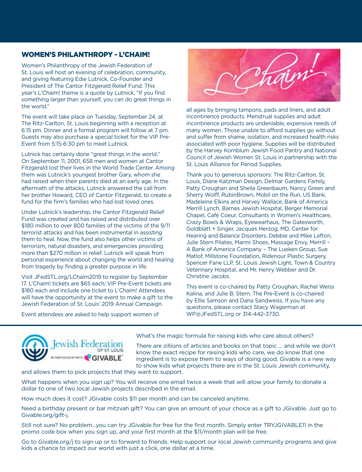#### WOMEN'S PHILANTHROPY - L'CHAIM!

Women's Philanthropy of the Jewish Federation of St. Louis will host an evening of celebration, community, and giving featuring Edie Lutnick, Co-Founder and President of The Cantor Fitzgerald Relief Fund. This year's L'Chaim! theme is a quote by Lutnick, "If you find something larger than yourself, you can do great things in the world."

The event will take place on Tuesday, September 24, at The Ritz-Carlton, St. Louis beginning with a reception at 6:15 pm. Dinner and a formal program will follow at 7 pm. Guests may also purchase a special ticket for the VIP Pre-Event from 5:15-6:30 pm to meet Lutnick.

Lutnick has certainly done "great things in the world." On September 11, 2001, 658 men and women at Cantor Fitzgerald lost their lives in the World Trade Center. Among them was Lutnick's youngest brother Gary, whom she had raised when their parents died at an early age. In the aftermath of the attacks, Lutnick answered the call from her brother Howard, CEO of Cantor Fitzgerald, to create a fund for the firm's families who had lost loved ones.

Under Lutnick's leadership, the Cantor Fitzgerald Relief Fund was created and has raised and distributed over \$180 million to over 800 families of the victims of the 9/11 terrorist attacks and has been instrumental in assisting them to heal. Now, the fund also helps other victims of terrorism, natural disasters, and emergencies providing more than \$270 million in relief. Lutnick will speak from personal experience about changing the world and healing from tragedy by finding a greater purpose in life.

Visit [JFedSTL.org/LChaim2019](www.jfedstl.org/lchaim2019) to register by September 17. L'Chaim! tickets are \$65 each; VIP Pre-Event tickets are \$180 each and include one ticket to L'Chaim! Attendees will have the opportunity at the event to make a gift to the Jewish Federation of St. Louis' 2019 Annual Campaign.

Event attendees are asked to help support women of



all ages by bringing tampons, pads and liners, and adult incontinence products. Menstrual supplies and adult incontinence products are undeniable, expensive needs of many women. Those unable to afford supplies go without and suffer from shame, isolation, and increased health risks associated with poor hygiene. Supplies will be distributed by the Harvey Kornblum Jewish Food Pantry and National Council of Jewish Women St. Louis in partnership with the St. Louis Alliance for Period Supplies.

Thank you to generous sponsors: The Ritz-Carlton, St. Louis, Diane Katzman Design, Delmar Gardens Family, Patty Croughan and Sheila Greenbaum, Nancy Green and Sherry Wolff, RubinBrown, Mobil on the Run, US Bank, Madeleine Elkins and Harvey Wallace, Bank of America Merrill Lynch, Barnes Jewish Hospital, Berger Memorial Chapel, Café Coeur, Consultants in Women's Healthcare, Crazy Bowls & Wraps, Eyewearhaus, The Gatesworth, Goldblatt + Singer, Jacques Herzog, MD, Center for Hearing and Balance Disorders, Debbie and Mike Lefton, Julie Stern Pilates, Marmi Shoes, Massage Envy, Merrill – A Bank of America Company – The Lueken Group, Sue Matlof, Millstone Foundation, Ridenour Plastic Surgery, Spencer Fane LLP, St. Louis Jewish Light, Town & Country Veterinary Hospital, and Mr. Henry Webber and Dr. Christine Jacobs.

This event is co-chaired by Patty Croughan, Rachel Weiss Kalina, and Julie B. Stern. The Pre-Event is co-chaired by Ellie Samson and Dana Sandweiss. If you have any questions, please contact Stacy Wagerman at WP@[JFedSTL.org](mailto:WP@JFedSTL.org) or 314-442-3730.



What's the magic formula for raising kids who care about others?

There are zillions of articles and books on that topic … and while we don't know the exact recipe for raising kids who care, we do know that one ingredient is to expose them to ways of doing good. Givable is a new way to show kids what projects there are in the St. Louis Jewish community,

and allows them to pick projects that they want to support.

What happens when you sign up? You will receive one email twice a week that will allow your family to donate a dollar to one of two local Jewish projects described in the email.

How much does it cost? JGivable costs \$11 per month and can be canceled anytime.

Need a birthday present or bar mitzvah gift? You can give an amount of your choice as a gift to JGivable. Just go to [Givable.org/gift-j.](www.givable.org/gift-j)

Still not sure? No problem…you can try JGivable for free for the first month. Simply enter TRYJGIVABLE11 in the promo code box when you sign up, and your first month at the \$11/month plan will be free.

Go t[o Givable.org/j](www.givable.org/gift-j) to sign up or to forward to friends. Help support our local Jewish community programs and give kids a chance to impact our world with just a click, one dollar at a time.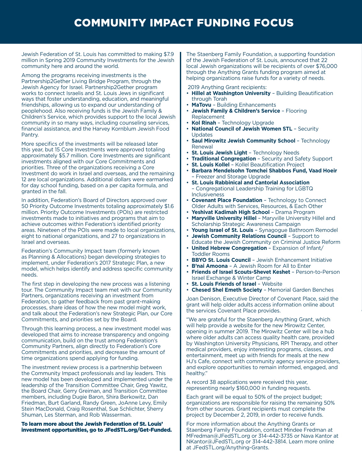# COMMUNITY IMPACT FUNDING FOCUS

Jewish Federation of St. Louis has committed to making \$7.9 million in Spring 2019 Community Investments for the Jewish community here and around the world.

Among the programs receiving investments is the Partnership2Gether Living Bridge Program, through the Jewish Agency for Israel. Partnership2Gether program works to connect Israelis and St. Louis Jews in significant ways that foster understanding, education, and meaningful friendships, allowing us to expand our understanding of peoplehood. Also receiving funds is the Jewish Family & Children's Service, which provides support to the local Jewish community in so many ways, including counseling services, financial assistance, and the Harvey Kornblum Jewish Food Pantry.

More specifics of the investments will be released later this year, but 15 Core Investments were approved totaling approximately \$5.7 million. Core Investments are significant investments aligned with our Core Commitments and priorities. Three of the organizations receiving a Core Investment do work in Israel and overseas, and the remaining 12 are local organizations. Additional dollars were earmarked for day school funding, based on a per capita formula, and granted in the fall.

In addition, Federation's Board of Directors approved over 50 Priority Outcome Investments totaling approximately \$1.6 million. Priority Outcome Investments (POIs) are restricted investments made to initiatives and programs that aim to achieve outcomes within Federation's identified priority areas. Nineteen of the POIs were made to local organizations, eight to national organizations, and 27 to organizations in Israel and overseas.

Federation's Community Impact team (formerly known as Planning & Allocations) began developing strategies to implement, under Federation's 2017 Strategic Plan, a new model, which helps identify and address specific community needs.

The first step in developing the new process was a listening tour. The Community Impact team met with our Community Partners, organizations receiving an investment from Federation, to gather feedback from past grant-making processes, share ideas of how the new model might work, and talk about the Federation's new Strategic Plan, our Core Commitments, and priorities set by the Board.

Through this learning process, a new investment model was developed that aims to increase transparency and ongoing communication, build on the trust among Federation's Community Partners, align directly to Federation's Core Commitments and priorities, and decrease the amount of time organizations spend applying for funding.

The investment review process is a partnership between the Community Impact professionals and lay leaders. This new model has been developed and implemented under the leadership of the Transition Committee Chair, Greg Yawitz, the Board Chair, Gerry Greiman, and Transition Committee members, including Dugie Baron, Shira Berkowitz, Dan Friedman, Burt Garland, Randy Green, JoAnne Levy, Emily Stein MacDonald, Craig Rosenthal, Sue Schlichter, Sherry Shuman, Les Sterman, and Rob Wasserman.

To learn more about the Jewish Federation of St. Louis' investment opportunities, go t[o JFedSTL.org/Get-Funded.](www.jfedstl.org/get-funded) 

The Staenberg Family Foundation, a supporting foundation of the Jewish Federation of St. Louis, announced that 22 local Jewish organizations will be recipients of over \$76,000 through the Anything Grants funding program aimed at helping organizations raise funds for a variety of needs.

2019 Anything Grant recipients:

- **Hillel at Washington University** Building Beautification through Torah
- **MaTovu** Building Enhancements
- **Jewish Family & Children's Service** Flooring Replacement
- **Kol Rinah** Technology Upgrade
- **National Council of Jewish Women STL** Security Updates
- **Saul Mirowitz Jewish Community School** Technology Renewal
- **St. Louis Jewish Light** Technology Needs
- **Traditional Congregation** Security and Safety Support
- **St. Louis Kollel** Kollel Beautification Project
- **Barbara Mendelsohn Tomchei Shabbos Fund, Vaad Hoeir**  – Freezer and Storage Upgrade
- **St. Louis Rabbinical and Cantorial Association** – Congregational Leadership Training for LGBTQ Inclusiveness
- **Covenant Place Foundation** Technology to Connect Older Adults with Services, Resources, & Each Other
- **Yeshivat Kadimah High School** Drama Program
- **Maryville University Hillel** Maryville University Hillel and Scholarship Strategic Awareness Campaign
- **Young Israel of St. Louis** Synagogue Bathroom Remodel
- **Jewish Community Relations Council Support to** Educate the Jewish Community on Criminal Justice Reform
- **United Hebrew Congregation** Expansion of Infant/ Toddler Rooms
- **BBYO St. Louis Council** Jewish Enhancement Initiative
- **B'nai Amoona** A Jewish Room for All to Enter
- **Friends of Israel Scouts-Shevet Keshet**  Person-to-Person Israel Exchange & Winter Camp
- **St. Louis Friends of Israel** Website
- **Chesed Shel Emeth Society** Memorial Garden Benches

Joan Denison, Executive Director of Covenant Place, said the grant will help older adults access information online about the services Covenant Place provides.

"We are grateful for the Staenberg Anything Grant, which will help provide a website for the new Mirowitz Center, opening in summer 2019. The Mirowitz Center will be a hub where older adults can access quality health care, provided by Washington University Physicians, RPI Therapy, and other medical providers, enjoy interesting programs, classes, and entertainment, meet up with friends for meals at the new HJ's Cafe, connect with community agency service providers, and explore opportunities to remain informed, engaged, and healthy."

A record 38 applications were received this year, representing nearly \$160,000 in funding requests.

Each grant will be equal to 50% of the project budget; organizations are responsible for raising the remaining 50% from other sources. Grant recipients must complete the project by December 2, 2019, in order to receive funds.

For more information about the Anything Grants or Staenberg Family Foundation, contact Mindee Fredman at [MFredman@JFedSTL.org](mailto:mfredman@jfedstl.org) or 314-442-3735 or Nava Kantor at [NKantor@JFedSTL.org](mailto:nkantor@jfedstl.org) or 314-442-3814. Learn more online at [JFedSTL.org/Anything-Grants.](www.jfedstl.org/anything-grants)